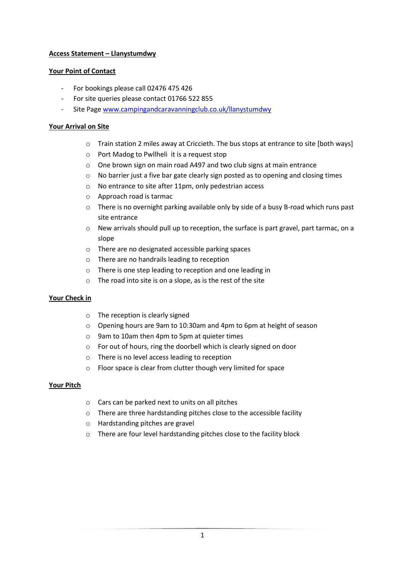# **Access Statement – Llanystumdwy**

## **Your Point of Contact**

- For bookings please call 02476 475 426
- For site queries please contact 01766 522 855
- Site Page [www.campingandcaravanningclub.co.uk/llanystumdwy](http://www.campingandcaravanningclub.co.uk/llanystumdwy)

## **Your Arrival on Site**

- o Train station 2 miles away at Criccieth. The bus stops at entrance to site [both ways]
- o Port Madog to Pwllheli it is a request stop
- o One brown sign on main road A497 and two club signs at main entrance
- o No barrier just a five bar gate clearly sign posted as to opening and closing times
- o No entrance to site after 11pm, only pedestrian access
- o Approach road is tarmac
- o There is no overnight parking available only by side of a busy B-road which runs past site entrance
- o New arrivals should pull up to reception, the surface is part gravel, part tarmac, on a slope
- o There are no designated accessible parking spaces
- o There are no handrails leading to reception
- o There is one step leading to reception and one leading in
- $\circ$  The road into site is on a slope, as is the rest of the site

# **Your Check in**

- o The reception is clearly signed
- o Opening hours are 9am to 10:30am and 4pm to 6pm at height of season
- o 9am to 10am then 4pm to 5pm at quieter times
- o For out of hours, ring the doorbell which is clearly signed on door
- o There is no level access leading to reception
- o Floor space is clear from clutter though very limited for space

## **Your Pitch**

- o Cars can be parked next to units on all pitches
- o There are three hardstanding pitches close to the accessible facility
- o Hardstanding pitches are gravel
- o There are four level hardstanding pitches close to the facility block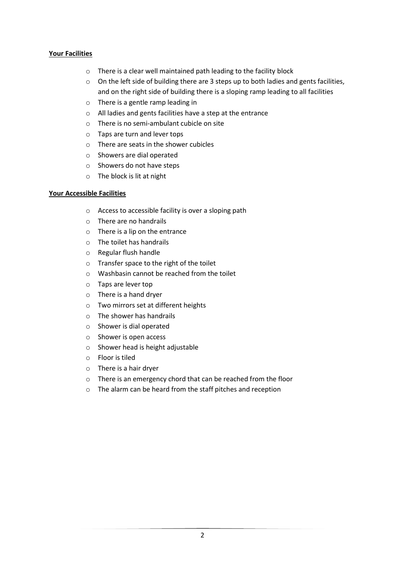# **Your Facilities**

- o There is a clear well maintained path leading to the facility block
- o On the left side of building there are 3 steps up to both ladies and gents facilities, and on the right side of building there is a sloping ramp leading to all facilities
- o There is a gentle ramp leading in
- o All ladies and gents facilities have a step at the entrance
- o There is no semi-ambulant cubicle on site
- o Taps are turn and lever tops
- o There are seats in the shower cubicles
- o Showers are dial operated
- o Showers do not have steps
- o The block is lit at night

## **Your Accessible Facilities**

- o Access to accessible facility is over a sloping path
- o There are no handrails
- o There is a lip on the entrance
- o The toilet has handrails
- o Regular flush handle
- o Transfer space to the right of the toilet
- $\circ$  Washbasin cannot be reached from the toilet
- o Taps are lever top
- o There is a hand dryer
- o Two mirrors set at different heights
- o The shower has handrails
- o Shower is dial operated
- o Shower is open access
- o Shower head is height adjustable
- o Floor is tiled
- o There is a hair dryer
- o There is an emergency chord that can be reached from the floor
- o The alarm can be heard from the staff pitches and reception